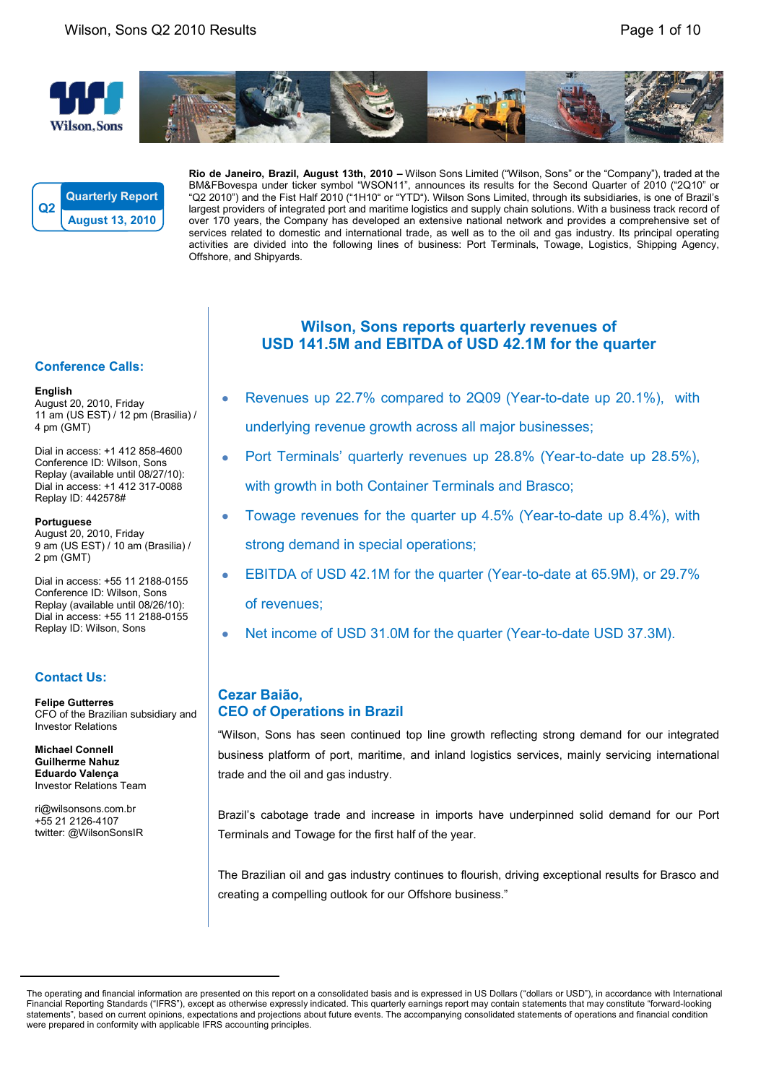





**Rio de Janeiro, Brazil, August 13th, 2010 –** Wilson Sons Limited ("Wilson, Sons" or the "Company"), traded at the BM&FBovespa under ticker symbol "WSON11", announces its results for the Second Quarter of 2010 ("2Q10" or "Q2 2010") and the Fist Half 2010 ("1H10" or "YTD"). Wilson Sons Limited, through its subsidiaries, is one of Brazil's largest providers of integrated port and maritime logistics and supply chain solutions. With a business track record of over 170 years, the Company has developed an extensive national network and provides a comprehensive set of services related to domestic and international trade, as well as to the oil and gas industry. Its principal operating activities are divided into the following lines of business: Port Terminals, Towage, Logistics, Shipping Agency, Offshore, and Shipyards.

### **Conference Calls:**

#### **English**

August 20, 2010, Friday 11 am (US EST) / 12 pm (Brasilia) / 4 pm (GMT)

Dial in access: +1 412 858-4600 Conference ID: Wilson, Sons Replay (available until 08/27/10): Dial in access: +1 412 317-0088 Replay ID: 442578#

#### **Portuguese**

August 20, 2010, Friday 9 am (US EST) / 10 am (Brasilia) / 2 pm (GMT)

Dial in access: +55 11 2188-0155 Conference ID: Wilson, Sons Replay (available until 08/26/10): Dial in access: +55 11 2188-0155 Replay ID: Wilson, Sons

## **Contact Us:**

**Felipe Gutterres** CFO of the Brazilian subsidiary and Investor Relations

**Michael Connell Guilherme Nahuz Eduardo Valença** Investor Relations Team

ri@wilsonsons.com.br +55 21 2126-4107 twitter: @WilsonSonsIR

# **Wilson, Sons reports quarterly revenues of USD 141.5M and EBITDA of USD 42.1M for the quarter**

- Revenues up 22.7% compared to 2Q09 (Year-to-date up 20.1%), with underlying revenue growth across all major businesses;
- Port Terminals' quarterly revenues up 28.8% (Year-to-date up 28.5%), with growth in both Container Terminals and Brasco;
- Towage revenues for the quarter up 4.5% (Year-to-date up 8.4%), with strong demand in special operations;
- EBITDA of USD 42.1M for the quarter (Year-to-date at 65.9M), or 29.7% of revenues;
- Net income of USD 31.0M for the quarter (Year-to-date USD 37.3M).

# **Cezar Baião, CEO of Operations in Brazil**

"Wilson, Sons has seen continued top line growth reflecting strong demand for our integrated business platform of port, maritime, and inland logistics services, mainly servicing international trade and the oil and gas industry.

Brazil's cabotage trade and increase in imports have underpinned solid demand for our Port Terminals and Towage for the first half of the year.

The Brazilian oil and gas industry continues to flourish, driving exceptional results for Brasco and creating a compelling outlook for our Offshore business."

The operating and financial information are presented on this report on a consolidated basis and is expressed in US Dollars ("dollars or USD"), in accordance with International Financial Reporting Standards ("IFRS"), except as otherwise expressly indicated. This quarterly earnings report may contain statements that may constitute "forward-looking statements", based on current opinions, expectations and projections about future events. The accompanying consolidated statements of operations and financial condition were prepared in conformity with applicable IFRS accounting principles.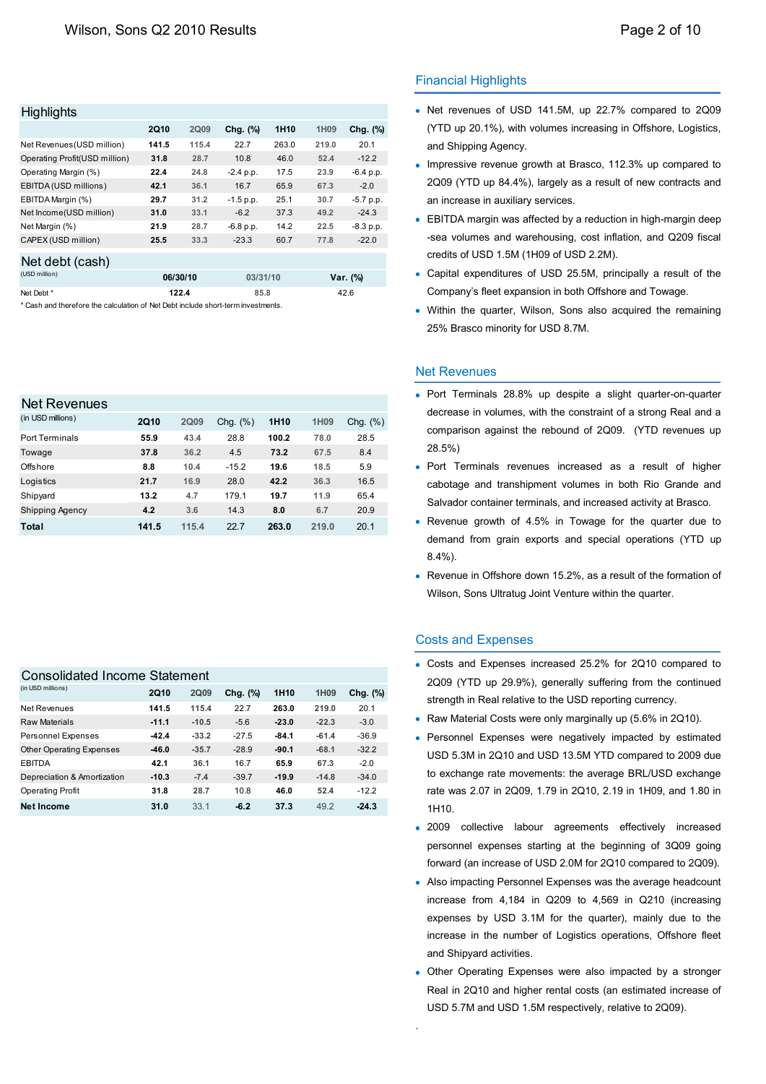| <b>Highlights</b>             |             |          |             |                  |       |             |
|-------------------------------|-------------|----------|-------------|------------------|-------|-------------|
|                               | <b>2Q10</b> | 2Q09     | Chg. (%)    | 1H <sub>10</sub> | 1H09  | Chg. (%)    |
| Net Revenues (USD million)    | 141.5       | 115.4    | 22.7        | 263.0            | 219.0 | 20.1        |
| Operating Profit(USD million) | 31.8        | 28.7     | 10.8        | 46.0             | 52.4  | $-12.2$     |
| Operating Margin (%)          | 22.4        | 24.8     | $-2.4$ p.p. | 17.5             | 23.9  | $-6.4 p.p.$ |
| EBITDA (USD millions)         | 42.1        | 36.1     | 16.7        | 65.9             | 67.3  | $-2.0$      |
| EBITDA Margin (%)             | 29.7        | 31.2     | $-1.5$ p.p. | 25.1             | 30.7  | $-5.7$ p.p. |
| Net Income(USD million)       | 31.0        | 33.1     | $-6.2$      | 37.3             | 49.2  | $-24.3$     |
| Net Margin (%)                | 21.9        | 28.7     | $-6.8$ p.p. | 14.2             | 22.5  | $-8.3 p.p.$ |
| CAPEX (USD million)           | 25.5        | 33.3     | $-23.3$     | 60.7             | 77.8  | $-22.0$     |
| Net debt (cash)               |             |          |             |                  |       |             |
| (USD million)                 |             | 06/30/10 | 03/31/10    |                  |       | Var. (%)    |

Net Debt **122.4 85.8**

\* Cash and therefore the calculation of Net Debt include short-term investments.

### Net Revenues

| (in USD millions)      | <b>2Q10</b> | <b>2Q09</b> | Chg. $(\%)$ | 1H <sub>10</sub> | 1H <sub>09</sub> | Chg. $(\%)$ |
|------------------------|-------------|-------------|-------------|------------------|------------------|-------------|
| <b>Port Terminals</b>  | 55.9        | 43.4        | 28.8        | 100.2            | 78.0             | 28.5        |
| Towage                 | 37.8        | 36.2        | 4.5         | 73.2             | 67.5             | 8.4         |
| Offshore               | 8.8         | 10.4        | $-15.2$     | 19.6             | 18.5             | 5.9         |
| Logistics              | 21.7        | 16.9        | 28.0        | 42.2             | 36.3             | 16.5        |
| Shipyard               | 13.2        | 4.7         | 179.1       | 19.7             | 11.9             | 65.4        |
| <b>Shipping Agency</b> | 4.2         | 3.6         | 14.3        | 8.0              | 6.7              | 20.9        |
| Total                  | 141.5       | 115.4       | 22.7        | 263.0            | 219.0            | 20.1        |

#### Consolidated Income Statement

| <b>2Q10</b> | 2Q09    | Chg. (%) | 1H <sub>10</sub> | 1H <sub>09</sub> | Chg. (%) |
|-------------|---------|----------|------------------|------------------|----------|
| 141.5       | 115.4   | 22.7     | 263.0            | 219.0            | 20.1     |
| $-11.1$     | $-10.5$ | $-5.6$   | $-23.0$          | $-22.3$          | $-3.0$   |
| $-42.4$     | $-33.2$ | $-27.5$  | $-84.1$          | $-61.4$          | $-36.9$  |
| $-46.0$     | $-35.7$ | $-28.9$  | $-90.1$          | $-68.1$          | $-32.2$  |
| 42.1        | 36.1    | 16.7     | 65.9             | 67.3             | $-2.0$   |
| $-10.3$     | $-7.4$  | $-39.7$  | $-19.9$          | $-14.8$          | $-34.0$  |
| 31.8        | 28.7    | 10.8     | 46.0             | 52.4             | $-12.2$  |
| 31.0        | 33.1    | $-6.2$   | 37.3             | 49.2             | $-24.3$  |
|             |         |          |                  |                  |          |

### Financial Highlights

- Net revenues of USD 141.5M, up 22.7% compared to 2Q09 (YTD up 20.1%), with volumes increasing in Offshore, Logistics, and Shipping Agency.
- Impressive revenue growth at Brasco, 112.3% up compared to 2Q09 (YTD up 84.4%), largely as a result of new contracts and an increase in auxiliary services.
- EBITDA margin was affected by a reduction in high-margin deep -sea volumes and warehousing, cost inflation, and Q209 fiscal credits of USD 1.5M (1H09 of USD 2.2M).
- Capital expenditures of USD 25.5M, principally a result of the Company's fleet expansion in both Offshore and Towage.
- Within the quarter, Wilson, Sons also acquired the remaining 25% Brasco minority for USD 8.7M.

#### Net Revenues

42.6

- Port Terminals 28.8% up despite a slight quarter-on-quarter decrease in volumes, with the constraint of a strong Real and a comparison against the rebound of 2Q09. (YTD revenues up 28.5%)
- Port Terminals revenues increased as a result of higher cabotage and transhipment volumes in both Rio Grande and Salvador container terminals, and increased activity at Brasco.
- Revenue growth of 4.5% in Towage for the quarter due to demand from grain exports and special operations (YTD up 8.4%).
- Revenue in Offshore down 15.2%, as a result of the formation of Wilson, Sons Ultratug Joint Venture within the quarter.

### Costs and Expenses

.

- Costs and Expenses increased 25.2% for 2Q10 compared to 2Q09 (YTD up 29.9%), generally suffering from the continued strength in Real relative to the USD reporting currency.
- Raw Material Costs were only marginally up (5.6% in 2Q10).
- Personnel Expenses were negatively impacted by estimated USD 5.3M in 2Q10 and USD 13.5M YTD compared to 2009 due to exchange rate movements: the average BRL/USD exchange rate was 2.07 in 2Q09, 1.79 in 2Q10, 2.19 in 1H09, and 1.80 in 1H10.
- 2009 collective labour agreements effectively increased personnel expenses starting at the beginning of 3Q09 going forward (an increase of USD 2.0M for 2Q10 compared to 2Q09).
- Also impacting Personnel Expenses was the average headcount increase from 4,184 in Q209 to 4,569 in Q210 (increasing expenses by USD 3.1M for the quarter), mainly due to the increase in the number of Logistics operations, Offshore fleet and Shipyard activities.
- Other Operating Expenses were also impacted by a stronger Real in 2Q10 and higher rental costs (an estimated increase of USD 5.7M and USD 1.5M respectively, relative to 2Q09).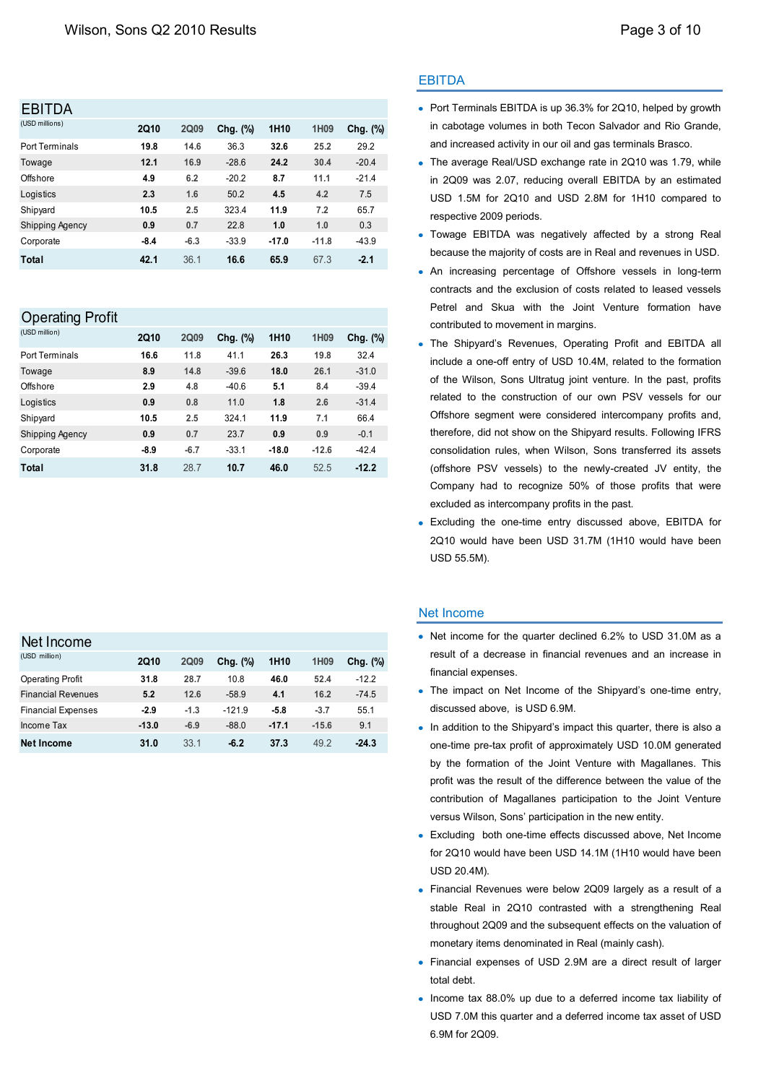# **ERITDA**

| <b>2Q10</b> | 2Q09   | Chg. (%) | 1H <sub>10</sub> | 1H09    | Chg. (%) |
|-------------|--------|----------|------------------|---------|----------|
| 19.8        | 14.6   | 36.3     | 32.6             | 25.2    | 29.2     |
| 12.1        | 16.9   | $-28.6$  | 24.2             | 30.4    | $-20.4$  |
| 4.9         | 6.2    | $-20.2$  | 8.7              | 11.1    | $-21.4$  |
| 2.3         | 1.6    | 50.2     | 4.5              | 4.2     | 7.5      |
| 10.5        | 2.5    | 323.4    | 11.9             | 7.2     | 65.7     |
| 0.9         | 0.7    | 22.8     | 1.0              | 1.0     | 0.3      |
| $-8.4$      | $-6.3$ | $-33.9$  | $-17.0$          | $-11.8$ | $-43.9$  |
| 42.1        | 36.1   | 16.6     | 65.9             | 67.3    | $-2.1$   |
|             |        |          |                  |         |          |

# Operating Profit

| (USD million)          | <b>2Q10</b> | <b>2Q09</b> | Chg. (%) | 1H <sub>10</sub> | 1H <sub>09</sub> | Chg. (%) |
|------------------------|-------------|-------------|----------|------------------|------------------|----------|
| <b>Port Terminals</b>  | 16.6        | 11.8        | 41.1     | 26.3             | 19.8             | 32.4     |
| Towage                 | 8.9         | 14.8        | $-39.6$  | 18.0             | 26.1             | $-31.0$  |
| Offshore               | 2.9         | 4.8         | $-40.6$  | 5.1              | 8.4              | $-39.4$  |
| Logistics              | 0.9         | 0.8         | 11.0     | 1.8              | 2.6              | $-31.4$  |
| Shipyard               | 10.5        | 2.5         | 324.1    | 11.9             | 7.1              | 66.4     |
| <b>Shipping Agency</b> | 0.9         | 0.7         | 23.7     | 0.9              | 0.9              | $-0.1$   |
| Corporate              | $-8.9$      | $-6.7$      | $-33.1$  | $-18.0$          | $-12.6$          | $-42.4$  |
| Total                  | 31.8        | 28.7        | 10.7     | 46.0             | 52.5             | $-12.2$  |

# Net Income

| <b>2Q10</b> | <b>2Q09</b> | Chg. (%) | 1H <sub>10</sub> | 1H09    | Chg. $(\%)$ |
|-------------|-------------|----------|------------------|---------|-------------|
| 31.8        | 28.7        | 10.8     | 46.0             | 52.4    | $-12.2$     |
| 5.2         | 12.6        | $-58.9$  | 4.1              | 16.2    | $-74.5$     |
| $-2.9$      | $-1.3$      | $-121.9$ | -5.8             | $-3.7$  | 55.1        |
| $-13.0$     | $-6.9$      | $-88.0$  | $-17.1$          | $-15.6$ | 9.1         |
| 31.0        | 33.1        | $-6.2$   | 37.3             | 49.2    | $-24.3$     |
|             |             |          |                  |         |             |

## EBITDA

- Port Terminals EBITDA is up 36.3% for 2Q10, helped by growth in cabotage volumes in both Tecon Salvador and Rio Grande, and increased activity in our oil and gas terminals Brasco.
- The average Real/USD exchange rate in 2Q10 was 1.79, while in 2Q09 was 2.07, reducing overall EBITDA by an estimated USD 1.5M for 2Q10 and USD 2.8M for 1H10 compared to respective 2009 periods.
- Towage EBITDA was negatively affected by a strong Real because the majority of costs are in Real and revenues in USD.
- An increasing percentage of Offshore vessels in long-term contracts and the exclusion of costs related to leased vessels Petrel and Skua with the Joint Venture formation have contributed to movement in margins.
- The Shipyard's Revenues, Operating Profit and EBITDA all include a one-off entry of USD 10.4M, related to the formation of the Wilson, Sons Ultratug joint venture. In the past, profits related to the construction of our own PSV vessels for our Offshore segment were considered intercompany profits and, therefore, did not show on the Shipyard results. Following IFRS consolidation rules, when Wilson, Sons transferred its assets (offshore PSV vessels) to the newly-created JV entity, the Company had to recognize 50% of those profits that were excluded as intercompany profits in the past.
- Excluding the one-time entry discussed above, EBITDA for 2Q10 would have been USD 31.7M (1H10 would have been USD 55.5M).

## Net Income

- Net income for the quarter declined 6.2% to USD 31.0M as a result of a decrease in financial revenues and an increase in financial expenses.
- The impact on Net Income of the Shipyard's one-time entry. discussed above, is USD 6.9M.
- In addition to the Shipyard's impact this quarter, there is also a one-time pre-tax profit of approximately USD 10.0M generated by the formation of the Joint Venture with Magallanes. This profit was the result of the difference between the value of the contribution of Magallanes participation to the Joint Venture versus Wilson, Sons' participation in the new entity.
- Excluding both one-time effects discussed above, Net Income for 2Q10 would have been USD 14.1M (1H10 would have been USD 20.4M).
- Financial Revenues were below 2Q09 largely as a result of a stable Real in 2Q10 contrasted with a strengthening Real throughout 2Q09 and the subsequent effects on the valuation of monetary items denominated in Real (mainly cash).
- Financial expenses of USD 2.9M are a direct result of larger total debt.
- Income tax 88.0% up due to a deferred income tax liability of USD 7.0M this quarter and a deferred income tax asset of USD 6.9M for 2Q09.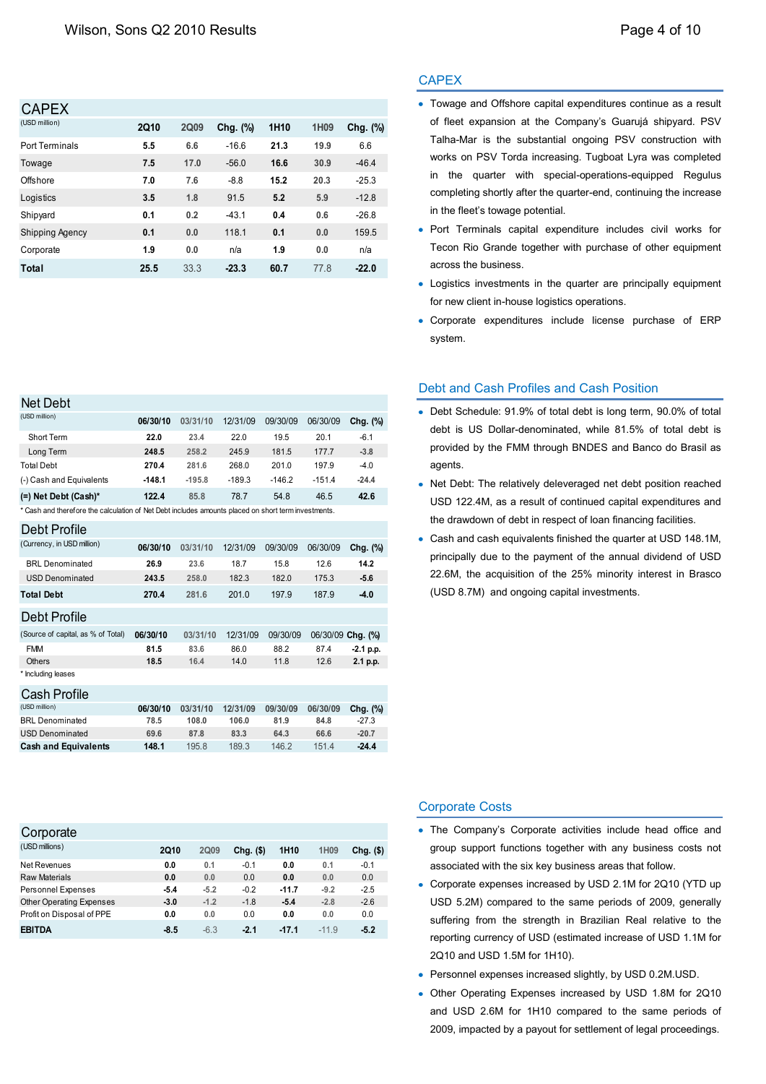| <b>CAPEX</b>           |             |             |             |                  |      |          |
|------------------------|-------------|-------------|-------------|------------------|------|----------|
| (USD million)          | <b>2Q10</b> | <b>2Q09</b> | Chg. $(\%)$ | 1H <sub>10</sub> | 1H09 | Chg. (%) |
| <b>Port Terminals</b>  | 5.5         | 6.6         | $-16.6$     | 21.3             | 19.9 | 6.6      |
| Towage                 | 7.5         | 17.0        | $-56.0$     | 16.6             | 30.9 | $-46.4$  |
| Offshore               | 7.0         | 7.6         | $-8.8$      | 15.2             | 20.3 | $-25.3$  |
| Logistics              | 3.5         | 1.8         | 91.5        | 5.2              | 5.9  | $-12.8$  |
| Shipyard               | 0.1         | 0.2         | $-43.1$     | 0.4              | 0.6  | $-26.8$  |
| <b>Shipping Agency</b> | 0.1         | 0.0         | 118.1       | 0.1              | 0.0  | 159.5    |
| Corporate              | 1.9         | 0.0         | n/a         | 1.9              | 0.0  | n/a      |
| Total                  | 25.5        | 33.3        | $-23.3$     | 60.7             | 77.8 | $-22.0$  |

#### Net Debt

| (USD million)                                                                                       | 06/30/10 | 03/31/10 | 12/31/09 | 09/30/09 | 06/30/09 | Chg. (%)          |
|-----------------------------------------------------------------------------------------------------|----------|----------|----------|----------|----------|-------------------|
| Short Term                                                                                          | 22.0     | 23.4     | 22.0     | 19.5     | 20.1     | $-6.1$            |
| Long Term                                                                                           | 248.5    | 258.2    | 245.9    | 181.5    | 177.7    | $-3.8$            |
| <b>Total Debt</b>                                                                                   | 270.4    | 281.6    | 268.0    | 201.0    | 197.9    | $-4.0$            |
| (-) Cash and Equivalents                                                                            | $-148.1$ | $-195.8$ | $-189.3$ | $-146.2$ | $-151.4$ | $-24.4$           |
| (=) Net Debt (Cash)*                                                                                | 122.4    | 85.8     | 78.7     | 54.8     | 46.5     | 42.6              |
| * Cash and therefore the calculation of Net Debt includes amounts placed on short term investments. |          |          |          |          |          |                   |
| Debt Profile                                                                                        |          |          |          |          |          |                   |
| (Currency, in USD million)                                                                          | 06/30/10 | 03/31/10 | 12/31/09 | 09/30/09 | 06/30/09 | Chg. (%)          |
| <b>BRL</b> Denominated                                                                              | 26.9     | 23.6     | 18.7     | 15.8     | 12.6     | 14.2              |
| <b>USD Denominated</b>                                                                              | 243.5    | 258.0    | 182.3    | 182.0    | 175.3    | $-5.6$            |
| <b>Total Debt</b>                                                                                   | 270.4    | 281.6    | 201.0    | 197.9    | 187.9    | $-4.0$            |
| <b>Debt Profile</b>                                                                                 |          |          |          |          |          |                   |
| (Source of capital, as % of Total)                                                                  | 06/30/10 | 03/31/10 | 12/31/09 | 09/30/09 |          | 06/30/09 Chg. (%) |
| <b>FMM</b>                                                                                          | 81.5     | 83.6     | 86.0     | 88.2     | 87.4     | $-2.1$ p.p.       |
| Others                                                                                              | 18.5     | 16.4     | 14.0     | 11.8     | 12.6     | 2.1 p.p.          |
| * Including leases                                                                                  |          |          |          |          |          |                   |
| Cash Profile                                                                                        |          |          |          |          |          |                   |

| 06/30/10 | 03/31/10 | 12/31/09 | 09/30/09 | 06/30/09 | Chg. (%) |
|----------|----------|----------|----------|----------|----------|
| 78.5     | 108.0    | 106.0    | 81.9     | 84.8     | $-27.3$  |
| 69.6     | 87.8     | 83.3     | 64.3     | 66.6     | $-20.7$  |
| 148.1    | 195.8    | 189.3    | 146.2    | 1514     | $-24.4$  |
|          |          |          |          |          |          |

| Corporate                       |             |             |             |                  |                  |             |
|---------------------------------|-------------|-------------|-------------|------------------|------------------|-------------|
| (USD millions)                  | <b>2Q10</b> | <b>2Q09</b> | $Chg.$ (\$) | 1H <sub>10</sub> | 1H <sub>09</sub> | $Chg.$ (\$) |
| Net Revenues                    | 0.0         | 0.1         | $-0.1$      | 0.0              | 0.1              | $-0.1$      |
| Raw Materials                   | 0.0         | 0.0         | 0.0         | 0.0              | 0.0              | 0.0         |
| <b>Personnel Expenses</b>       | $-5.4$      | $-5.2$      | $-0.2$      | $-11.7$          | $-9.2$           | $-2.5$      |
| <b>Other Operating Expenses</b> | $-3.0$      | $-1.2$      | $-1.8$      | $-5.4$           | $-2.8$           | $-2.6$      |
| Profit on Disposal of PPE       | 0.0         | 0.0         | 0.0         | 0.0              | 0.0              | 0.0         |
| <b>EBITDA</b>                   | $-8.5$      | $-6.3$      | $-2.1$      | $-17.1$          | $-11.9$          | $-5.2$      |

### **CAPEX**

- Towage and Offshore capital expenditures continue as a result of fleet expansion at the Company's Guarujá shipyard. PSV Talha-Mar is the substantial ongoing PSV construction with works on PSV Torda increasing. Tugboat Lyra was completed in the quarter with special-operations-equipped Regulus completing shortly after the quarter-end, continuing the increase in the fleet's towage potential.
- Port Terminals capital expenditure includes civil works for Tecon Rio Grande together with purchase of other equipment across the business.
- Logistics investments in the quarter are principally equipment for new client in-house logistics operations.
- Corporate expenditures include license purchase of ERP system.

### Debt and Cash Profiles and Cash Position

- Debt Schedule: 91.9% of total debt is long term, 90.0% of total debt is US Dollar-denominated, while 81.5% of total debt is provided by the FMM through BNDES and Banco do Brasil as agents.
- Net Debt: The relatively deleveraged net debt position reached USD 122.4M, as a result of continued capital expenditures and the drawdown of debt in respect of loan financing facilities.
- Cash and cash equivalents finished the quarter at USD 148.1M, principally due to the payment of the annual dividend of USD 22.6M, the acquisition of the 25% minority interest in Brasco (USD 8.7M) and ongoing capital investments.

### Corporate Costs

- The Company's Corporate activities include head office and group support functions together with any business costs not associated with the six key business areas that follow.
- Corporate expenses increased by USD 2.1M for 2Q10 (YTD up USD 5.2M) compared to the same periods of 2009, generally suffering from the strength in Brazilian Real relative to the reporting currency of USD (estimated increase of USD 1.1M for 2Q10 and USD 1.5M for 1H10).
- Personnel expenses increased slightly, by USD 0.2M.USD.
- Other Operating Expenses increased by USD 1.8M for 2Q10 and USD 2.6M for 1H10 compared to the same periods of 2009, impacted by a payout for settlement of legal proceedings.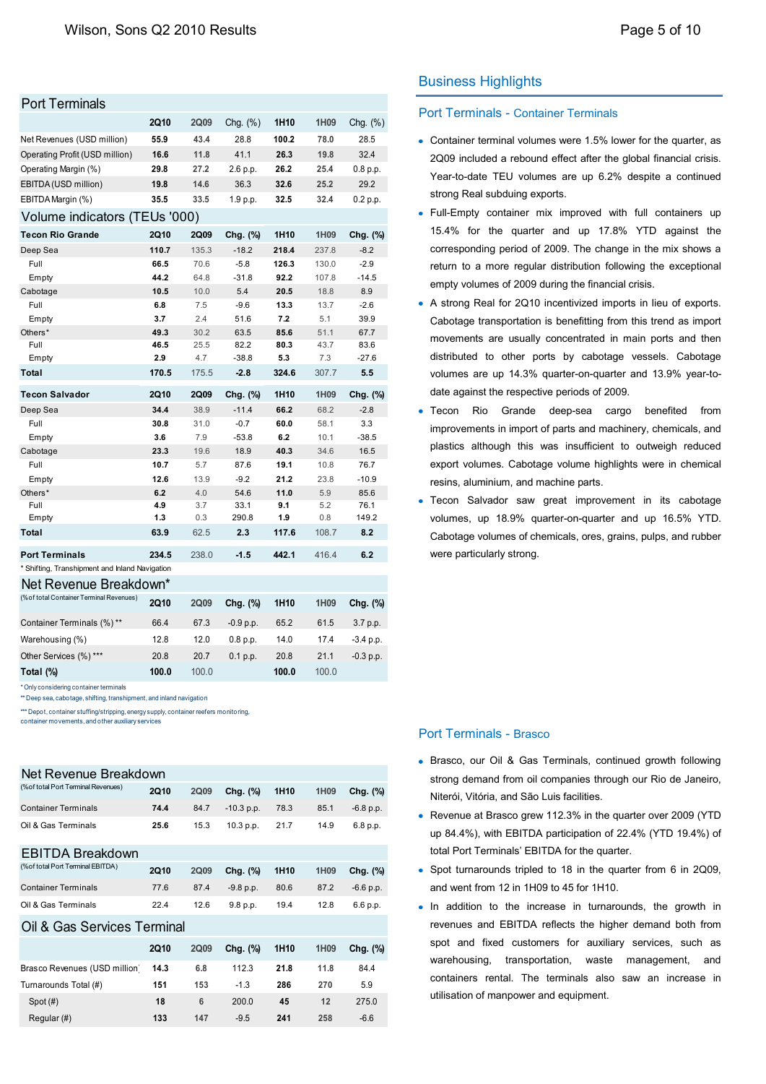| Port Terminals |  |
|----------------|--|
|                |  |

| <b>Port Terminals</b>                                                                                                                      |                |             |                |                  |              |                 |                                              |
|--------------------------------------------------------------------------------------------------------------------------------------------|----------------|-------------|----------------|------------------|--------------|-----------------|----------------------------------------------|
|                                                                                                                                            | <b>2Q10</b>    | <b>2Q09</b> | Chg. (%)       | 1H <sub>10</sub> | 1H09         | Chg. $(\%)$     | <b>Port Terminals - Container Termina</b>    |
| Net Revenues (USD million)                                                                                                                 | 55.9           | 43.4        | 28.8           | 100.2            | 78.0         | 28.5            | • Container terminal volumes were 1.5%       |
| Operating Profit (USD million)                                                                                                             | 16.6           | 11.8        | 41.1           | 26.3             | 19.8         | 32.4            | 2Q09 included a rebound effect after t       |
| Operating Margin (%)                                                                                                                       | 29.8           | 27.2        | 2.6 p.p.       | 26.2             | 25.4         | 0.8 p.p.        | Year-to-date TEU volumes are up 6.           |
| EBITDA (USD million)                                                                                                                       | 19.8           | 14.6        | 36.3           | 32.6             | 25.2         | 29.2            |                                              |
| EBITDA Margin (%)                                                                                                                          | 35.5           | 33.5        | 1.9 p.p.       | 32.5             | 32.4         | 0.2 p.p.        | strong Real subduing exports.                |
| Volume indicators (TEUs '000)                                                                                                              |                |             |                |                  |              |                 | • Full-Empty container mix improved          |
| <b>Tecon Rio Grande</b>                                                                                                                    | 2Q10           | 2Q09        | Chg. (%)       | 1H <sub>10</sub> | 1H09         | Chg. (%)        | 15.4% for the quarter and up 17              |
| Deep Sea                                                                                                                                   | 110.7          | 135.3       | $-18.2$        | 218.4            | 237.8        | $-8.2$          | corresponding period of 2009. The cha        |
| Full                                                                                                                                       | 66.5           | 70.6        | $-5.8$         | 126.3            | 130.0        | $-2.9$          | return to a more regular distribution f      |
| Empty                                                                                                                                      | 44.2           | 64.8        | $-31.8$        | 92.2             | 107.8        | $-14.5$         | empty volumes of 2009 during the finar       |
| Cabotage<br>Full                                                                                                                           | 10.5<br>6.8    | 10.0<br>7.5 | 5.4<br>$-9.6$  | 20.5<br>13.3     | 18.8<br>13.7 | 8.9<br>$-2.6$   | • A strong Real for 2Q10 incentivized in     |
| Empty                                                                                                                                      | 3.7            | 2.4         | 51.6           | 7.2              | 5.1          | 39.9            | Cabotage transportation is benefitting       |
| Others*                                                                                                                                    | 49.3           | 30.2        | 63.5           | 85.6             | 51.1         | 67.7            |                                              |
| Full                                                                                                                                       | 46.5           | 25.5        | 82.2           | 80.3             | 43.7         | 83.6            | movements are usually concentrated           |
| Empty                                                                                                                                      | 2.9            | 4.7         | $-38.8$        | 5.3              | 7.3          | $-27.6$         | distributed to other ports by cabota         |
| Total                                                                                                                                      | 170.5          | 175.5       | $-2.8$         | 324.6            | 307.7        | 5.5             | volumes are up 14.3% quarter-on-qua          |
| <b>Tecon Salvador</b>                                                                                                                      | <b>2Q10</b>    | 2Q09        | Chg. (%)       | 1H <sub>10</sub> | 1H09         | Chg. (%)        | date against the respective periods of 2     |
| Deep Sea                                                                                                                                   | 34.4           | 38.9        | $-11.4$        | 66.2             | 68.2         | $-2.8$          | $\bullet$ Tecon<br>Rio<br>Grande<br>deep-sea |
| Full                                                                                                                                       | 30.8           | 31.0        | $-0.7$         | 60.0             | 58.1         | 3.3             | improvements in import of parts and m        |
| Empty                                                                                                                                      | 3.6            | 7.9         | $-53.8$        | 6.2              | 10.1         | $-38.5$         | plastics although this was insufficier       |
| Cabotage                                                                                                                                   | 23.3           | 19.6        | 18.9           | 40.3             | 34.6         | 16.5            |                                              |
| Full                                                                                                                                       | 10.7           | 5.7         | 87.6           | 19.1             | 10.8         | 76.7            | export volumes. Cabotage volume hig          |
| Empty<br>Others*                                                                                                                           | 12.6<br>6.2    | 13.9<br>4.0 | $-9.2$<br>54.6 | 21.2<br>11.0     | 23.8<br>5.9  | $-10.9$<br>85.6 | resins, aluminium, and machine parts.        |
| Full                                                                                                                                       | 4.9            | 3.7         | 33.1           | 9.1              | 5.2          | 76.1            | • Tecon Salvador saw great improve           |
| Empty                                                                                                                                      | 1.3            | 0.3         | 290.8          | 1.9              | 0.8          | 149.2           | volumes, up 18.9% quarter-on-quarte          |
| Total                                                                                                                                      | 63.9           | 62.5        | 2.3            | 117.6            | 108.7        | 8.2             | Cabotage volumes of chemicals, ores,         |
| <b>Port Terminals</b>                                                                                                                      | 234.5          | 238.0       | $-1.5$         | 442.1            | 416.4        | 6.2             | were particularly strong.                    |
| * Shifting, Transhipment and Inland Navigation                                                                                             |                |             |                |                  |              |                 |                                              |
| Net Revenue Breakdown*                                                                                                                     |                |             |                |                  |              |                 |                                              |
| (% of total Container Terminal Revenues)                                                                                                   | <b>2Q10</b>    | <b>2Q09</b> | Chg. (%)       | 1H10             | 1H09         | Chg. (%)        |                                              |
| Container Terminals (%) **                                                                                                                 | 66.4           | 67.3        | $-0.9 p.p.$    | 65.2             | 61.5         | 3.7 p.p.        |                                              |
| Warehousing (%)                                                                                                                            | 12.8           | 12.0        | 0.8 p.p.       | 14.0             | 17.4         | $-3.4$ p.p.     |                                              |
| Other Services (%) ***                                                                                                                     | 20.8           | 20.7        | 0.1 p.p.       | 20.8             | 21.1         | $-0.3 p.p.$     |                                              |
| Total (%)                                                                                                                                  | 100.0          | 100.0       |                | 100.0            | 100.0        |                 |                                              |
| * Only considering container terminals                                                                                                     |                |             |                |                  |              |                 |                                              |
| ** Deep sea, cabotage, shifting, transhipment, and inland navigation                                                                       |                |             |                |                  |              |                 |                                              |
| *** Depot, container stuffing/stripping, energy supply, container reefers monitoring,<br>container movements, and other auxiliary services |                |             |                |                  |              |                 |                                              |
|                                                                                                                                            |                |             |                |                  |              |                 | <b>Port Terminals - Brasco</b>               |
|                                                                                                                                            |                |             |                |                  |              |                 |                                              |
| Net Revenue Breakdown                                                                                                                      |                |             |                |                  |              |                 | • Brasco, our Oil & Gas Terminals, co        |
| (%of total Port Terminal Revenues)                                                                                                         |                |             |                |                  |              |                 | strong demand from oil companies thro        |
|                                                                                                                                            | 2Q10           | 2Q09        | Chg. (%)       | 1H10             | 1H09         | Chg. (%)        | Niterói, Vitória, and São Luis facilities.   |
| <b>Container Terminals</b>                                                                                                                 | 74.4           | 84.7        | $-10.3$ p.p.   | 78.3             | 85.1         | $-6.8 p.p.$     | • Revenue at Brasco grew 112.3% in the       |
| Oil & Gas Terminals                                                                                                                        | 25.6           | 15.3        | 10.3 p.p.      | 21.7             | 14.9         | 6.8 p.p.        | up 84.4%), with EBITDA participation of      |
| <b>EBITDA Breakdown</b>                                                                                                                    |                |             |                |                  |              |                 | total Port Terminals' EBITDA for the qu      |
| (% of total Port Terminal EBITDA)                                                                                                          | <b>2Q10</b>    | 2Q09        | Chg. (%)       | 1H10             | 1H09         | Chg. (%)        | • Spot turnarounds tripled to 18 in the      |
| <b>Container Terminals</b>                                                                                                                 | 77.6           | 87.4        | -9.8 p.p.      | 80.6             | 87.2         | $-6.6 p.p.$     | and went from 12 in 1H09 to 45 for 1H1       |
| Oil & Gas Terminals                                                                                                                        | 22.4           | 12.6        | 9.8 p.p.       | 19.4             | 12.8         | 6.6 p.p.        | In addition to the increase in turnal        |
| Oil & Gas Services Terminal                                                                                                                |                |             |                |                  |              |                 | revenues and EBITDA reflects the hi          |
|                                                                                                                                            | <b>2Q10</b>    | 2Q09        | Chg. (%)       | 1H <sub>10</sub> | 1H09         | Chg. (%)        | spot and fixed customers for auxil           |
|                                                                                                                                            |                |             |                |                  |              |                 | warehousing,<br>transportation,<br>wast      |
| Brasco Revenues (USD million)                                                                                                              | 14.3           | 6.8         | 112.3          | 21.8             | 11.8         | 84.4            | containers rental. The terminals als         |
| Turnarounds Total (#)                                                                                                                      | 151            | 153         | $-1.3$         | 286              | 270          | 5.9             | utilisation of manpower and equipment.       |
| $C_{n-1}/\mu$                                                                                                                              | $\overline{a}$ |             | 2000           | $\overline{1}$   |              | 27E             |                                              |

| Net Revenue Breakdown               |             |             |              |                  |                  |             |
|-------------------------------------|-------------|-------------|--------------|------------------|------------------|-------------|
| (% of total Port Terminal Revenues) | <b>2Q10</b> | <b>2Q09</b> | Chg. (%)     | 1H <sub>10</sub> | 1H09             | Chg. (%)    |
| <b>Container Terminals</b>          | 74.4        | 84.7        | $-10.3$ p.p. | 78.3             | 85.1             | $-6.8$ p.p. |
| Oil & Gas Terminals                 | 25.6        | 15.3        | 10.3 p.p.    | 21.7             | 14.9             | 6.8 p.p.    |
| <b>EBITDA Breakdown</b>             |             |             |              |                  |                  |             |
| (%of total Port Terminal EBITDA)    | <b>2Q10</b> | <b>2Q09</b> | Chg. (%)     | 1H <sub>10</sub> | 1H09             | Chg. (%)    |
| <b>Container Terminals</b>          | 77.6        | 87.4        | $-9.8 p.p.$  | 80.6             | 87.2             | $-6.6 p.p.$ |
| Oil & Gas Terminals                 | 22.4        | 12.6        | 9.8 p.p.     | 19.4             | 12.8             | 6.6 p.p.    |
| Oil & Gas Services Terminal         |             |             |              |                  |                  |             |
|                                     | <b>2Q10</b> | <b>2Q09</b> | Chg. (%)     | 1H <sub>10</sub> | 1H <sub>09</sub> | Chg. (%)    |
| Brasco Revenues (USD million)       | 14.3        | 6.8         | 112.3        | 21.8             | 11.8             | 84.4        |
| Turnarounds Total (#)               | 151         | 153         | $-1.3$       | 286              | 270              | 5.9         |
| Spot (#)                            | 18          | 6           | 200.0        | 45               | 12               | 275.0       |
| Regular (#)                         | 133         | 147         | $-9.5$       | 241              | 258              | $-6.6$      |
|                                     |             |             |              |                  |                  |             |

# Business Highlights

#### Port Terminals - Container Terminals

- Container terminal volumes were 1.5% lower for the quarter, as 2Q09 included a rebound effect after the global financial crisis. Year-to-date TEU volumes are up 6.2% despite a continued strong Real subduing exports.
- Full-Empty container mix improved with full containers up 15.4% for the quarter and up 17.8% YTD against the corresponding period of 2009. The change in the mix shows a return to a more regular distribution following the exceptional empty volumes of 2009 during the financial crisis.
- A strong Real for 2Q10 incentivized imports in lieu of exports. Cabotage transportation is benefitting from this trend as import movements are usually concentrated in main ports and then distributed to other ports by cabotage vessels. Cabotage volumes are up 14.3% quarter-on-quarter and 13.9% year-todate against the respective periods of 2009.
- Tecon Rio Grande deep-sea cargo benefited from improvements in import of parts and machinery, chemicals, and plastics although this was insufficient to outweigh reduced export volumes. Cabotage volume highlights were in chemical resins, aluminium, and machine parts.
- Tecon Salvador saw great improvement in its cabotage volumes, up 18.9% quarter-on-quarter and up 16.5% YTD. Cabotage volumes of chemicals, ores, grains, pulps, and rubber were particularly strong.

### Port Terminals - Brasco

- Brasco, our Oil & Gas Terminals, continued growth following strong demand from oil companies through our Rio de Janeiro, Niterói, Vitória, and São Luis facilities.
- Revenue at Brasco grew 112.3% in the quarter over 2009 (YTD up 84.4%), with EBITDA participation of 22.4% (YTD 19.4%) of total Port Terminals' EBITDA for the quarter.
- Spot turnarounds tripled to 18 in the quarter from 6 in 2Q09, and went from 12 in 1H09 to 45 for 1H10.
- In addition to the increase in turnarounds, the growth in revenues and EBITDA reflects the higher demand both from spot and fixed customers for auxiliary services, such as warehousing, transportation, waste management, and containers rental. The terminals also saw an increase in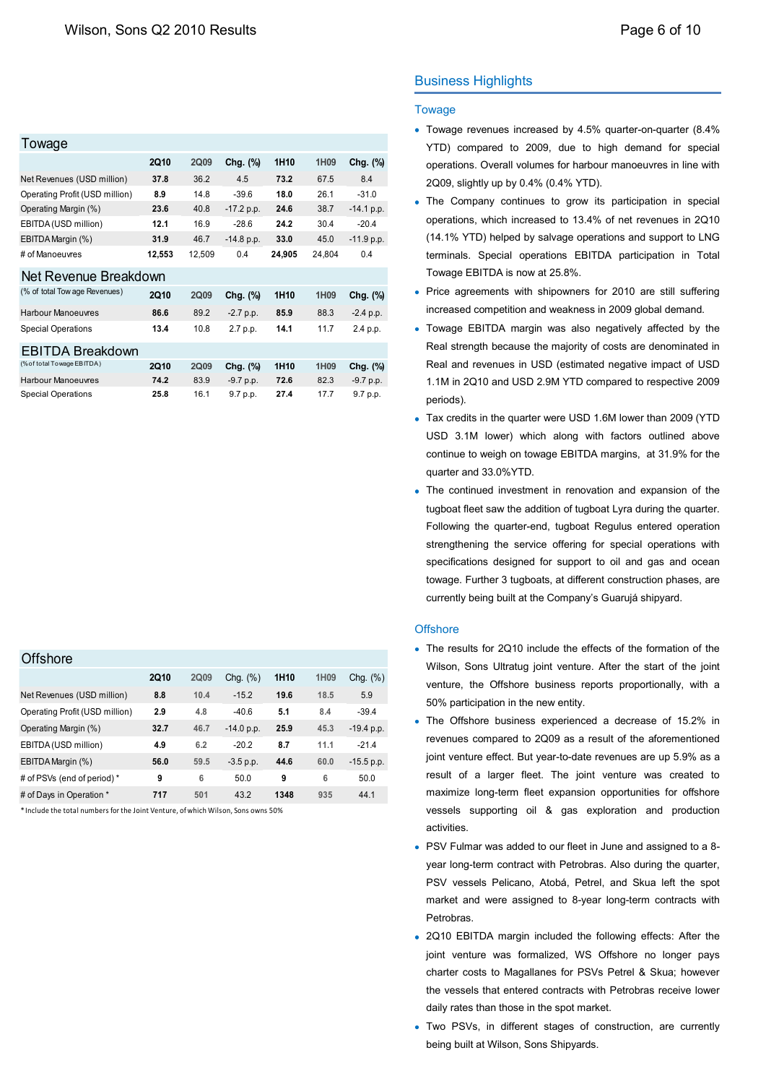| Towage                         |             |             |              |                  |                  |              |
|--------------------------------|-------------|-------------|--------------|------------------|------------------|--------------|
|                                | <b>2Q10</b> | <b>2Q09</b> | Chg. (%)     | 1H <sub>10</sub> | 1H <sub>09</sub> | Chg. (%)     |
| Net Revenues (USD million)     | 37.8        | 36.2        | 4.5          | 73.2             | 67.5             | 84           |
| Operating Profit (USD million) | 8.9         | 14.8        | $-39.6$      | 18.0             | 26.1             | $-31.0$      |
| Operating Margin (%)           | 23.6        | 40.8        | $-17.2 p.p.$ | 24.6             | 38.7             | $-14.1 p.p.$ |
| EBITDA (USD million)           | 12.1        | 16.9        | $-286$       | 24.2             | 30.4             | $-20.4$      |
| EBITDA Margin (%)              | 31.9        | 46.7        | $-14.8 p.p.$ | 33.0             | 45.0             | $-11.9 p.p.$ |
| # of Manoeuvres                | 12,553      | 12,509      | 0.4          | 24,905           | 24,804           | 04           |
| Net Revenue Breakdown          |             |             |              |                  |                  |              |
| (% of total Tow age Revenues)  | <b>2Q10</b> | 2Q09        | Chg. (%)     | 1H <sub>10</sub> | 1H <sub>09</sub> | Chg. (%)     |
| <b>Harbour Manoeuvres</b>      | 86.6        | 89.2        | $-2.7$ p.p.  | 85.9             | 88.3             | $-2.4 p.p.$  |
| <b>Special Operations</b>      | 13.4        | 10.8        | 2.7 p.p.     | 14.1             | 11.7             | 2.4 p.p.     |
| EBITDA Breakdown               |             |             |              |                  |                  |              |
| (% of total Towage EBITDA)     | <b>2Q10</b> | <b>2Q09</b> | Chg. (%)     | 1H <sub>10</sub> | 1H09             | Chg. (%)     |
| <b>Harbour Manoeuvres</b>      | 74.2        | 83.9        | $-9.7 p.p.$  | 72.6             | 82.3             | $-9.7 p.p.$  |
| <b>Special Operations</b>      | 25.8        | 16.1        | 9.7 p.p.     | 27.4             | 17.7             | 9.7 p.p.     |

| Offshore                                                                         |             |      |              |                  |      |              |
|----------------------------------------------------------------------------------|-------------|------|--------------|------------------|------|--------------|
|                                                                                  | <b>2Q10</b> | 2Q09 | Chg. $(\%)$  | 1H <sub>10</sub> | 1H09 | Chg. $(\% )$ |
| Net Revenues (USD million)                                                       | 8.8         | 10.4 | $-15.2$      | 19.6             | 18.5 | 5.9          |
| Operating Profit (USD million)                                                   | 2.9         | 4.8  | $-40.6$      | 5.1              | 8.4  | $-39.4$      |
| Operating Margin (%)                                                             | 32.7        | 46.7 | $-14.0 p.p.$ | 25.9             | 45.3 | $-19.4 p.p.$ |
| EBITDA (USD million)                                                             | 4.9         | 6.2  | $-20.2$      | 8.7              | 11.1 | $-21.4$      |
| EBITDA Margin (%)                                                                | 56.0        | 59.5 | $-3.5$ p.p.  | 44.6             | 60.0 | $-15.5 p.p.$ |
| # of PSVs (end of period) *                                                      | 9           | 6    | 50.0         | 9                | 6    | 50.0         |
| # of Days in Operation *                                                         | 717         | 501  | 43.2         | 1348             | 935  | 44.1         |
| *Include the total numbers for the Joint Venture, of which Wilson, Sons owns 50% |             |      |              |                  |      |              |

\* Include the total numbers for the Joint Venture, of which Wilson, Sons owns 50%

# Business Highlights

#### **Towage**

- Towage revenues increased by 4.5% quarter-on-quarter (8.4% YTD) compared to 2009, due to high demand for special operations. Overall volumes for harbour manoeuvres in line with 2Q09, slightly up by 0.4% (0.4% YTD).
- The Company continues to grow its participation in special operations, which increased to 13.4% of net revenues in 2Q10 (14.1% YTD) helped by salvage operations and support to LNG terminals. Special operations EBITDA participation in Total Towage EBITDA is now at 25.8%.
- Price agreements with shipowners for 2010 are still suffering increased competition and weakness in 2009 global demand.
- Towage EBITDA margin was also negatively affected by the Real strength because the majority of costs are denominated in Real and revenues in USD (estimated negative impact of USD 1.1M in 2Q10 and USD 2.9M YTD compared to respective 2009 periods).
- Tax credits in the quarter were USD 1.6M lower than 2009 (YTD USD 3.1M lower) which along with factors outlined above continue to weigh on towage EBITDA margins, at 31.9% for the quarter and 33.0%YTD.
- The continued investment in renovation and expansion of the tugboat fleet saw the addition of tugboat Lyra during the quarter. Following the quarter-end, tugboat Regulus entered operation strengthening the service offering for special operations with specifications designed for support to oil and gas and ocean towage. Further 3 tugboats, at different construction phases, are currently being built at the Company's Guarujá shipyard.

#### **Offshore**

- The results for 2Q10 include the effects of the formation of the Wilson, Sons Ultratug joint venture. After the start of the joint venture, the Offshore business reports proportionally, with a 50% participation in the new entity.
- The Offshore business experienced a decrease of 15.2% in revenues compared to 2Q09 as a result of the aforementioned joint venture effect. But year-to-date revenues are up 5.9% as a result of a larger fleet. The joint venture was created to maximize long-term fleet expansion opportunities for offshore vessels supporting oil & gas exploration and production activities.
- PSV Fulmar was added to our fleet in June and assigned to a 8 year long-term contract with Petrobras. Also during the quarter, PSV vessels Pelicano, Atobá, Petrel, and Skua left the spot market and were assigned to 8-year long-term contracts with Petrobras.
- 2Q10 EBITDA margin included the following effects: After the joint venture was formalized, WS Offshore no longer pays charter costs to Magallanes for PSVs Petrel & Skua; however the vessels that entered contracts with Petrobras receive lower daily rates than those in the spot market.
- Two PSVs, in different stages of construction, are currently being built at Wilson, Sons Shipyards.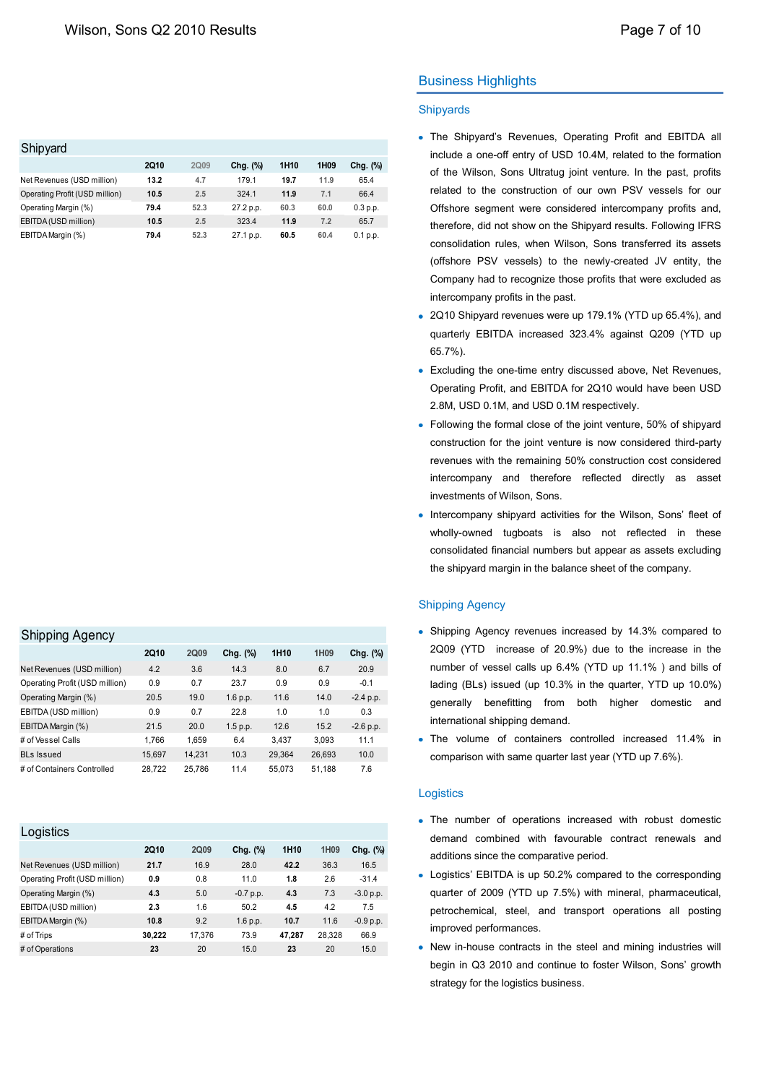| Shipyard                       |             |      |           |                  |                  |             |
|--------------------------------|-------------|------|-----------|------------------|------------------|-------------|
|                                | <b>2Q10</b> | 2009 | Chg. (%)  | 1H <sub>10</sub> | 1H <sub>09</sub> | Chg. $(\%)$ |
| Net Revenues (USD million)     | 13.2        | 4.7  | 179.1     | 19.7             | 11.9             | 65.4        |
| Operating Profit (USD million) | 10.5        | 2.5  | 324.1     | 11.9             | 7.1              | 66.4        |
| Operating Margin (%)           | 79.4        | 52.3 | 27.2 p.p. | 60.3             | 60.0             | 0.3 p.p.    |
| EBITDA (USD million)           | 10.5        | 2.5  | 323.4     | 11.9             | 7.2              | 65.7        |
| EBITDA Margin (%)              | 79.4        | 52.3 | 27.1 p.p. | 60.5             | 60.4             | 0.1 p.p.    |

### Shinning Agency

| ville viring a system of       |             |        |          |                  |                  |             |
|--------------------------------|-------------|--------|----------|------------------|------------------|-------------|
|                                | <b>2Q10</b> | 2Q09   | Chg. (%) | 1H <sub>10</sub> | 1H <sub>09</sub> | Chg. (%)    |
| Net Revenues (USD million)     | 4.2         | 3.6    | 14.3     | 8.0              | 6.7              | 20.9        |
| Operating Profit (USD million) | 0.9         | 0.7    | 23.7     | 0.9              | 0.9              | $-0.1$      |
| Operating Margin (%)           | 20.5        | 19.0   | 1.6 p.p. | 11.6             | 14.0             | $-2.4$ p.p. |
| EBITDA (USD million)           | 0.9         | 0.7    | 22.8     | 1.0              | 1.0              | 0.3         |
| EBITDA Margin (%)              | 21.5        | 20.0   | 1.5 p.p. | 12.6             | 15.2             | $-2.6$ p.p. |
| # of Vessel Calls              | 1.766       | 1.659  | 6.4      | 3.437            | 3.093            | 11.1        |
| <b>BLs Issued</b>              | 15,697      | 14,231 | 10.3     | 29,364           | 26,693           | 10.0        |
| # of Containers Controlled     | 28.722      | 25.786 | 11.4     | 55.073           | 51,188           | 7.6         |

| <b>2Q10</b> | <b>2Q09</b> | Chg. (%)    | 1H <sub>10</sub> | 1H09   | Chg. (%)    |
|-------------|-------------|-------------|------------------|--------|-------------|
| 21.7        | 16.9        | 28.0        | 42.2             | 36.3   | 16.5        |
| 0.9         | 0.8         | 11.0        | 1.8              | 2.6    | $-31.4$     |
| 4.3         | 5.0         | $-0.7$ p.p. | 4.3              | 7.3    | $-3.0 p.p.$ |
| 2.3         | 1.6         | 50.2        | 4.5              | 4.2    | 7.5         |
| 10.8        | 9.2         | 1.6 p.p.    | 10.7             | 11.6   | $-0.9 p.p.$ |
| 30,222      | 17,376      | 73.9        | 47.287           | 28,328 | 66.9        |
| 23          | 20          | 15.0        | 23               | 20     | 15.0        |
|             |             |             |                  |        |             |

# Business Highlights

### **Shipyards**

- The Shipyard's Revenues, Operating Profit and EBITDA all include a one-off entry of USD 10.4M, related to the formation of the Wilson, Sons Ultratug joint venture. In the past, profits related to the construction of our own PSV vessels for our Offshore segment were considered intercompany profits and, therefore, did not show on the Shipyard results. Following IFRS consolidation rules, when Wilson, Sons transferred its assets (offshore PSV vessels) to the newly-created JV entity, the Company had to recognize those profits that were excluded as intercompany profits in the past.
- 2Q10 Shipyard revenues were up 179.1% (YTD up 65.4%), and quarterly EBITDA increased 323.4% against Q209 (YTD up 65.7%).
- Excluding the one-time entry discussed above, Net Revenues, Operating Profit, and EBITDA for 2Q10 would have been USD 2.8M, USD 0.1M, and USD 0.1M respectively.
- Following the formal close of the joint venture, 50% of shipyard construction for the joint venture is now considered third-party revenues with the remaining 50% construction cost considered intercompany and therefore reflected directly as asset investments of Wilson, Sons.
- Intercompany shipyard activities for the Wilson, Sons' fleet of wholly-owned tugboats is also not reflected in these consolidated financial numbers but appear as assets excluding the shipyard margin in the balance sheet of the company.

### Shipping Agency

- Shipping Agency revenues increased by 14.3% compared to 2Q09 (YTD increase of 20.9%) due to the increase in the number of vessel calls up 6.4% (YTD up 11.1% ) and bills of lading (BLs) issued (up 10.3% in the quarter, YTD up 10.0%) generally benefitting from both higher domestic and international shipping demand.
- The volume of containers controlled increased 11.4% in comparison with same quarter last year (YTD up 7.6%).

#### **Logistics**

- The number of operations increased with robust domestic demand combined with favourable contract renewals and additions since the comparative period.
- Logistics' EBITDA is up 50.2% compared to the corresponding quarter of 2009 (YTD up 7.5%) with mineral, pharmaceutical, petrochemical, steel, and transport operations all posting improved performances.
- New in-house contracts in the steel and mining industries will begin in Q3 2010 and continue to foster Wilson, Sons' growth strategy for the logistics business.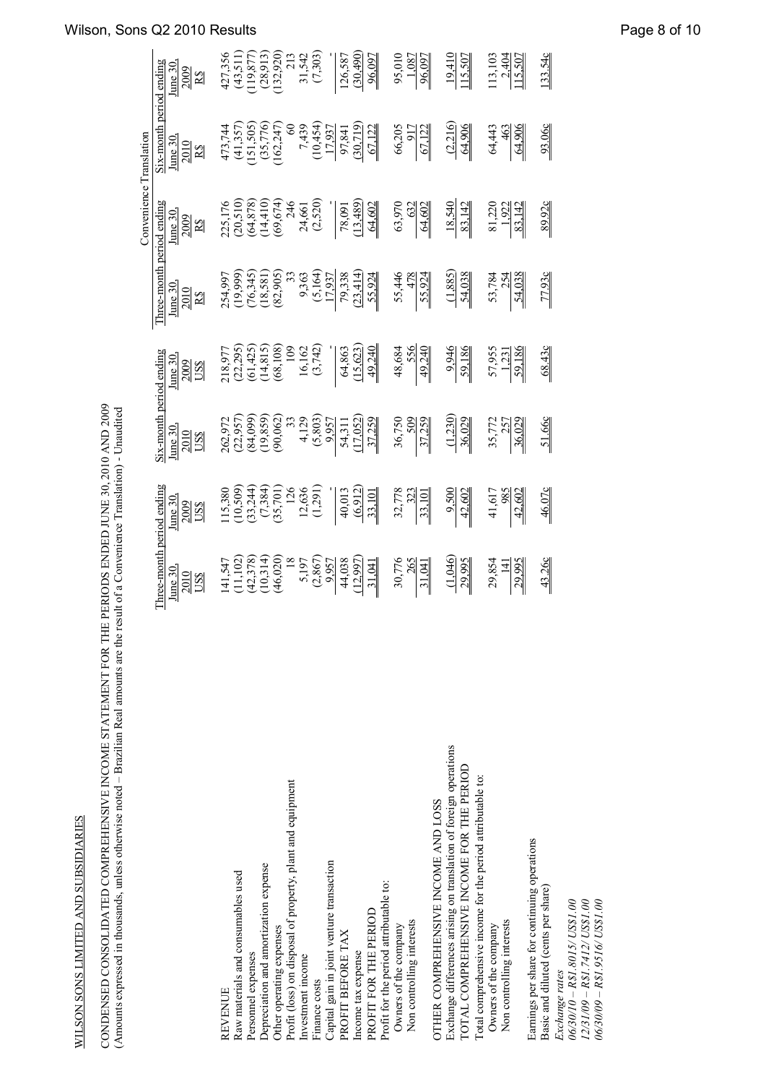| $\begin{array}{l} 254,997 \\ (19,99) \\ (19,345) \\ (19,381) \\ (19,390) \\ (19,390) \\ (19,390) \\ (19,390) \\ (19,390) \\ (19,390) \\ (19,391) \\ (19,391) \\ (19,392) \\ (19,391) \\ (19,392) \\ (19,392) \\ (19,392) \\ (19,392) \\ (19,392) \\ (19,392) \\ (19,392) \\ (19,392) \\ (19,392) \\ (19,392$<br>$\frac{55,446}{478}$<br>$\frac{53,784}{54,038}$<br>2010<br>$\mathbf{R}\mathbf{\hat{S}}$<br>$\begin{array}{l} 218,977\\ (22,295)\\ (54,425)\\ (68,108)\\ (68,108)\\ (74,815)\\ (80,108)\\ (9,162)\\ (15,423)\\ (15,623)\\ (15,623)\\ (15,623)\\ (15,623)\\ (15,623)\\ (15,623)\\ (15,623)\\ (15,623)\\ (15,623)\\ (15,623)\\ (15,623)\\ (15,623)\\ (15,623)\\ (15,623)\\ (15,623$<br>48,684<br>556<br>49,240<br>9,946<br>$\frac{57,955}{-1,231}$<br>68.43c<br>$\frac{1}{2}$ ix-month period ending<br>$_{\text{line}30}$<br>2009<br>US\$<br>$\begin{array}{l} 262,972 \\ 262,950) \\ (22,950) \\ (84,09) \\ (90,62) \\ (90,62) \\ (90,62) \\ (90,62) \\ (90,62) \\ (90,62) \\ (90,62) \\ (90,62) \\ (11,02) \\ (11,02) \\ (11,02) \\ (11,02) \\ (11,02) \\ (11,02) \\ (12,02) \\ (12,02) \\ (12,02) \\ (12,02) \\ (12,02) \\ (12,02) \\ (12,02) \\ (12,02) \\ ($<br>$\frac{(1,230)}{36,029}$<br>51.66c<br>36,750<br>509<br>37,259<br>35, 772<br>257<br>36, 029<br>June 30.<br>2010<br>US\$<br>hree-month period ending<br>$\begin{array}{r} 115,380 \\ (10,509) \\ (10,384) \\ (33,240) \\ (35,701) \\ (35,701) \\ (35,701) \\ (35,701) \\ (35,701) \\ (35,701) \\ (35,701) \\ (35,701) \\ (35,701) \\ (35,701) \\ (35,701) \\ (35,701) \\ (35,701) \\ (35,701) \\ (35,701) \\ (35,701) \\ (35,701) \\ (35,701) \\ (35,701) \\ (35,70$<br>32,778<br>9.500<br>42,602<br>41,617<br>985<br>42,602<br>46.07<br>$_{\text{line}30}$<br>2009<br>US\$<br>$\begin{array}{l l} 141,547 \\[-4.1020pt] (11,102) \\[-4.8ex] (11,102) \\[-4.8ex] (11,102) \\[-4.8ex] (11,102) \\[-4.8ex] (11,102) \\[-4.8ex] (11,102) \\[-4.8ex] (11,102) \\[-4.8ex] (11,102) \\[-4.8ex] (11,102) \\[-4.8ex] (11,102) \\[-4.8ex] (11,102) \\[-4.8ex] (11,102) \\[-4.8ex] (11,102) \\[-4.8$<br>(1,046)<br>$\frac{30,776}{265}$<br>43.26c<br>29,995<br>29,995<br>29,854<br>June 30,<br>2010<br>US\$<br>Exchange differences arising on translation of foreign operations<br>TOTAL COMPREHENSIVE INCOME FOR THE PERIOD<br>Total comprehensive income for the period attributable to:<br>Profit (loss) on disposal of property, plant and equipment<br>OTHER COMPREHENSIVE INCOME AND LOSS<br>Earnings per share for continuing operations<br>Capital gain in joint venture transaction<br>Depreciation and amortization expense<br>Raw materials and consumables used<br>Profit for the period attributable to:<br>Basic and diluted (cents per share)<br>06/30/10 - R\$1.8015/ US\$1.00<br>$\begin{array}{l} 12/31/09 - R\$1.7412/ \text{US\$}1.00 \\ 06/30/09 - R\$1.9516/ \text{US\$}1.00 \end{array}$<br>PROFIT FOR THE PERIOD<br>Non controlling interests<br>Non controlling interests<br>Owners of the company<br>Owners of the company<br>Other operating expenses<br>PROFIT BEFORE TAX<br>Income tax expense<br>Personnel expenses<br>Investment income<br>Exchange rates<br>Finance costs<br><b>REVENUE</b> |  |  |                                      | Convenience Translation                                                                                                                                                                                                                                                                                                                                                                           |                                                                                                                                                                                                                                                                                                                                               |                                                                             |
|-----------------------------------------------------------------------------------------------------------------------------------------------------------------------------------------------------------------------------------------------------------------------------------------------------------------------------------------------------------------------------------------------------------------------------------------------------------------------------------------------------------------------------------------------------------------------------------------------------------------------------------------------------------------------------------------------------------------------------------------------------------------------------------------------------------------------------------------------------------------------------------------------------------------------------------------------------------------------------------------------------------------------------------------------------------------------------------------------------------------------------------------------------------------------------------------------------------------------------------------------------------------------------------------------------------------------------------------------------------------------------------------------------------------------------------------------------------------------------------------------------------------------------------------------------------------------------------------------------------------------------------------------------------------------------------------------------------------------------------------------------------------------------------------------------------------------------------------------------------------------------------------------------------------------------------------------------------------------------------------------------------------------------------------------------------------------------------------------------------------------------------------------------------------------------------------------------------------------------------------------------------------------------------------------------------------------------------------------------------------------------------------------------------------------------------------------------------------------------------------------------------------------------------------------------------------------------------------------------------------------------------------------------------------------------------------------------------------------------------------------------------------------------------------------------------------------------------------------------------------------------------------------------------------------------------------------------------------------------------------------------------------------------------------------------------------------------------------------------------------------------------------------------------------------------------------------------|--|--|--------------------------------------|---------------------------------------------------------------------------------------------------------------------------------------------------------------------------------------------------------------------------------------------------------------------------------------------------------------------------------------------------------------------------------------------------|-----------------------------------------------------------------------------------------------------------------------------------------------------------------------------------------------------------------------------------------------------------------------------------------------------------------------------------------------|-----------------------------------------------------------------------------|
|                                                                                                                                                                                                                                                                                                                                                                                                                                                                                                                                                                                                                                                                                                                                                                                                                                                                                                                                                                                                                                                                                                                                                                                                                                                                                                                                                                                                                                                                                                                                                                                                                                                                                                                                                                                                                                                                                                                                                                                                                                                                                                                                                                                                                                                                                                                                                                                                                                                                                                                                                                                                                                                                                                                                                                                                                                                                                                                                                                                                                                                                                                                                                                                                     |  |  | Three-month period ending<br>June 30 | June 30.<br>2009                                                                                                                                                                                                                                                                                                                                                                                  |                                                                                                                                                                                                                                                                                                                                               | Six-month period ending<br>$\frac{\frac{\text{June }30.}{2010}}{\text{R}3}$ |
|                                                                                                                                                                                                                                                                                                                                                                                                                                                                                                                                                                                                                                                                                                                                                                                                                                                                                                                                                                                                                                                                                                                                                                                                                                                                                                                                                                                                                                                                                                                                                                                                                                                                                                                                                                                                                                                                                                                                                                                                                                                                                                                                                                                                                                                                                                                                                                                                                                                                                                                                                                                                                                                                                                                                                                                                                                                                                                                                                                                                                                                                                                                                                                                                     |  |  |                                      | $\mathbf{R}\mathbf{\hat{S}}$                                                                                                                                                                                                                                                                                                                                                                      |                                                                                                                                                                                                                                                                                                                                               |                                                                             |
|                                                                                                                                                                                                                                                                                                                                                                                                                                                                                                                                                                                                                                                                                                                                                                                                                                                                                                                                                                                                                                                                                                                                                                                                                                                                                                                                                                                                                                                                                                                                                                                                                                                                                                                                                                                                                                                                                                                                                                                                                                                                                                                                                                                                                                                                                                                                                                                                                                                                                                                                                                                                                                                                                                                                                                                                                                                                                                                                                                                                                                                                                                                                                                                                     |  |  |                                      |                                                                                                                                                                                                                                                                                                                                                                                                   |                                                                                                                                                                                                                                                                                                                                               | 473,744<br>(41,357)<br>(151,505)<br>(162,247)<br>(162,247)                  |
|                                                                                                                                                                                                                                                                                                                                                                                                                                                                                                                                                                                                                                                                                                                                                                                                                                                                                                                                                                                                                                                                                                                                                                                                                                                                                                                                                                                                                                                                                                                                                                                                                                                                                                                                                                                                                                                                                                                                                                                                                                                                                                                                                                                                                                                                                                                                                                                                                                                                                                                                                                                                                                                                                                                                                                                                                                                                                                                                                                                                                                                                                                                                                                                                     |  |  |                                      |                                                                                                                                                                                                                                                                                                                                                                                                   |                                                                                                                                                                                                                                                                                                                                               |                                                                             |
|                                                                                                                                                                                                                                                                                                                                                                                                                                                                                                                                                                                                                                                                                                                                                                                                                                                                                                                                                                                                                                                                                                                                                                                                                                                                                                                                                                                                                                                                                                                                                                                                                                                                                                                                                                                                                                                                                                                                                                                                                                                                                                                                                                                                                                                                                                                                                                                                                                                                                                                                                                                                                                                                                                                                                                                                                                                                                                                                                                                                                                                                                                                                                                                                     |  |  |                                      |                                                                                                                                                                                                                                                                                                                                                                                                   |                                                                                                                                                                                                                                                                                                                                               |                                                                             |
|                                                                                                                                                                                                                                                                                                                                                                                                                                                                                                                                                                                                                                                                                                                                                                                                                                                                                                                                                                                                                                                                                                                                                                                                                                                                                                                                                                                                                                                                                                                                                                                                                                                                                                                                                                                                                                                                                                                                                                                                                                                                                                                                                                                                                                                                                                                                                                                                                                                                                                                                                                                                                                                                                                                                                                                                                                                                                                                                                                                                                                                                                                                                                                                                     |  |  |                                      |                                                                                                                                                                                                                                                                                                                                                                                                   |                                                                                                                                                                                                                                                                                                                                               |                                                                             |
|                                                                                                                                                                                                                                                                                                                                                                                                                                                                                                                                                                                                                                                                                                                                                                                                                                                                                                                                                                                                                                                                                                                                                                                                                                                                                                                                                                                                                                                                                                                                                                                                                                                                                                                                                                                                                                                                                                                                                                                                                                                                                                                                                                                                                                                                                                                                                                                                                                                                                                                                                                                                                                                                                                                                                                                                                                                                                                                                                                                                                                                                                                                                                                                                     |  |  |                                      | $\begin{array}{l} \text{225,176} \\ \text{220,510)} \\ \text{(30,520)} \\ \text{(4,410)} \\ \text{(50,574)} \\ \text{(60,574)} \\ \text{(70,574)} \\ \text{(80,574)} \\ \text{(9,61)} \\ \text{(13,62)} \\ \text{(13,489)} \\ \text{(13,489)} \\ \text{(13,489)} \\ \text{(13,489)} \\ \text{(13,489)} \\ \text{(13,489)} \\ \text{(13,489)} \\ \text{(13,489)} \\ \text{(13,489)} \\ \text{(13,$ |                                                                                                                                                                                                                                                                                                                                               |                                                                             |
|                                                                                                                                                                                                                                                                                                                                                                                                                                                                                                                                                                                                                                                                                                                                                                                                                                                                                                                                                                                                                                                                                                                                                                                                                                                                                                                                                                                                                                                                                                                                                                                                                                                                                                                                                                                                                                                                                                                                                                                                                                                                                                                                                                                                                                                                                                                                                                                                                                                                                                                                                                                                                                                                                                                                                                                                                                                                                                                                                                                                                                                                                                                                                                                                     |  |  |                                      |                                                                                                                                                                                                                                                                                                                                                                                                   |                                                                                                                                                                                                                                                                                                                                               |                                                                             |
|                                                                                                                                                                                                                                                                                                                                                                                                                                                                                                                                                                                                                                                                                                                                                                                                                                                                                                                                                                                                                                                                                                                                                                                                                                                                                                                                                                                                                                                                                                                                                                                                                                                                                                                                                                                                                                                                                                                                                                                                                                                                                                                                                                                                                                                                                                                                                                                                                                                                                                                                                                                                                                                                                                                                                                                                                                                                                                                                                                                                                                                                                                                                                                                                     |  |  |                                      |                                                                                                                                                                                                                                                                                                                                                                                                   |                                                                                                                                                                                                                                                                                                                                               |                                                                             |
|                                                                                                                                                                                                                                                                                                                                                                                                                                                                                                                                                                                                                                                                                                                                                                                                                                                                                                                                                                                                                                                                                                                                                                                                                                                                                                                                                                                                                                                                                                                                                                                                                                                                                                                                                                                                                                                                                                                                                                                                                                                                                                                                                                                                                                                                                                                                                                                                                                                                                                                                                                                                                                                                                                                                                                                                                                                                                                                                                                                                                                                                                                                                                                                                     |  |  |                                      |                                                                                                                                                                                                                                                                                                                                                                                                   |                                                                                                                                                                                                                                                                                                                                               |                                                                             |
|                                                                                                                                                                                                                                                                                                                                                                                                                                                                                                                                                                                                                                                                                                                                                                                                                                                                                                                                                                                                                                                                                                                                                                                                                                                                                                                                                                                                                                                                                                                                                                                                                                                                                                                                                                                                                                                                                                                                                                                                                                                                                                                                                                                                                                                                                                                                                                                                                                                                                                                                                                                                                                                                                                                                                                                                                                                                                                                                                                                                                                                                                                                                                                                                     |  |  |                                      |                                                                                                                                                                                                                                                                                                                                                                                                   |                                                                                                                                                                                                                                                                                                                                               |                                                                             |
|                                                                                                                                                                                                                                                                                                                                                                                                                                                                                                                                                                                                                                                                                                                                                                                                                                                                                                                                                                                                                                                                                                                                                                                                                                                                                                                                                                                                                                                                                                                                                                                                                                                                                                                                                                                                                                                                                                                                                                                                                                                                                                                                                                                                                                                                                                                                                                                                                                                                                                                                                                                                                                                                                                                                                                                                                                                                                                                                                                                                                                                                                                                                                                                                     |  |  |                                      |                                                                                                                                                                                                                                                                                                                                                                                                   |                                                                                                                                                                                                                                                                                                                                               |                                                                             |
|                                                                                                                                                                                                                                                                                                                                                                                                                                                                                                                                                                                                                                                                                                                                                                                                                                                                                                                                                                                                                                                                                                                                                                                                                                                                                                                                                                                                                                                                                                                                                                                                                                                                                                                                                                                                                                                                                                                                                                                                                                                                                                                                                                                                                                                                                                                                                                                                                                                                                                                                                                                                                                                                                                                                                                                                                                                                                                                                                                                                                                                                                                                                                                                                     |  |  |                                      |                                                                                                                                                                                                                                                                                                                                                                                                   | $\begin{array}{r} 60 \\ 7439 \\ 10454 \\ 1191 \\ -1191 \\ -10454 \\ -1191 \\ -1041 \\ -1041 \\ -1041 \\ -1041 \\ -1041 \\ -1041 \\ -1041 \\ -1041 \\ -1041 \\ -1041 \\ -1041 \\ -1041 \\ -1041 \\ -1041 \\ -1041 \\ -1041 \\ -1041 \\ -1041 \\ -1041 \\ -1041 \\ -1041 \\ -1041 \\ -1041 \\ -1041 \\ -1041 \\ -1041 \\ -1041 \\ -1041 \\ -10$ |                                                                             |
|                                                                                                                                                                                                                                                                                                                                                                                                                                                                                                                                                                                                                                                                                                                                                                                                                                                                                                                                                                                                                                                                                                                                                                                                                                                                                                                                                                                                                                                                                                                                                                                                                                                                                                                                                                                                                                                                                                                                                                                                                                                                                                                                                                                                                                                                                                                                                                                                                                                                                                                                                                                                                                                                                                                                                                                                                                                                                                                                                                                                                                                                                                                                                                                                     |  |  |                                      |                                                                                                                                                                                                                                                                                                                                                                                                   |                                                                                                                                                                                                                                                                                                                                               |                                                                             |
|                                                                                                                                                                                                                                                                                                                                                                                                                                                                                                                                                                                                                                                                                                                                                                                                                                                                                                                                                                                                                                                                                                                                                                                                                                                                                                                                                                                                                                                                                                                                                                                                                                                                                                                                                                                                                                                                                                                                                                                                                                                                                                                                                                                                                                                                                                                                                                                                                                                                                                                                                                                                                                                                                                                                                                                                                                                                                                                                                                                                                                                                                                                                                                                                     |  |  |                                      |                                                                                                                                                                                                                                                                                                                                                                                                   |                                                                                                                                                                                                                                                                                                                                               |                                                                             |
|                                                                                                                                                                                                                                                                                                                                                                                                                                                                                                                                                                                                                                                                                                                                                                                                                                                                                                                                                                                                                                                                                                                                                                                                                                                                                                                                                                                                                                                                                                                                                                                                                                                                                                                                                                                                                                                                                                                                                                                                                                                                                                                                                                                                                                                                                                                                                                                                                                                                                                                                                                                                                                                                                                                                                                                                                                                                                                                                                                                                                                                                                                                                                                                                     |  |  |                                      | 63,970<br>632<br>64,602                                                                                                                                                                                                                                                                                                                                                                           | $\frac{66,205}{\underline{917}}$                                                                                                                                                                                                                                                                                                              |                                                                             |
|                                                                                                                                                                                                                                                                                                                                                                                                                                                                                                                                                                                                                                                                                                                                                                                                                                                                                                                                                                                                                                                                                                                                                                                                                                                                                                                                                                                                                                                                                                                                                                                                                                                                                                                                                                                                                                                                                                                                                                                                                                                                                                                                                                                                                                                                                                                                                                                                                                                                                                                                                                                                                                                                                                                                                                                                                                                                                                                                                                                                                                                                                                                                                                                                     |  |  |                                      |                                                                                                                                                                                                                                                                                                                                                                                                   |                                                                                                                                                                                                                                                                                                                                               |                                                                             |
|                                                                                                                                                                                                                                                                                                                                                                                                                                                                                                                                                                                                                                                                                                                                                                                                                                                                                                                                                                                                                                                                                                                                                                                                                                                                                                                                                                                                                                                                                                                                                                                                                                                                                                                                                                                                                                                                                                                                                                                                                                                                                                                                                                                                                                                                                                                                                                                                                                                                                                                                                                                                                                                                                                                                                                                                                                                                                                                                                                                                                                                                                                                                                                                                     |  |  | (1,885)                              |                                                                                                                                                                                                                                                                                                                                                                                                   |                                                                                                                                                                                                                                                                                                                                               |                                                                             |
|                                                                                                                                                                                                                                                                                                                                                                                                                                                                                                                                                                                                                                                                                                                                                                                                                                                                                                                                                                                                                                                                                                                                                                                                                                                                                                                                                                                                                                                                                                                                                                                                                                                                                                                                                                                                                                                                                                                                                                                                                                                                                                                                                                                                                                                                                                                                                                                                                                                                                                                                                                                                                                                                                                                                                                                                                                                                                                                                                                                                                                                                                                                                                                                                     |  |  | 54,038                               | $\frac{18,540}{83,142}$                                                                                                                                                                                                                                                                                                                                                                           | $\frac{(2,216)}{64,906}$                                                                                                                                                                                                                                                                                                                      |                                                                             |
|                                                                                                                                                                                                                                                                                                                                                                                                                                                                                                                                                                                                                                                                                                                                                                                                                                                                                                                                                                                                                                                                                                                                                                                                                                                                                                                                                                                                                                                                                                                                                                                                                                                                                                                                                                                                                                                                                                                                                                                                                                                                                                                                                                                                                                                                                                                                                                                                                                                                                                                                                                                                                                                                                                                                                                                                                                                                                                                                                                                                                                                                                                                                                                                                     |  |  |                                      |                                                                                                                                                                                                                                                                                                                                                                                                   |                                                                                                                                                                                                                                                                                                                                               |                                                                             |
|                                                                                                                                                                                                                                                                                                                                                                                                                                                                                                                                                                                                                                                                                                                                                                                                                                                                                                                                                                                                                                                                                                                                                                                                                                                                                                                                                                                                                                                                                                                                                                                                                                                                                                                                                                                                                                                                                                                                                                                                                                                                                                                                                                                                                                                                                                                                                                                                                                                                                                                                                                                                                                                                                                                                                                                                                                                                                                                                                                                                                                                                                                                                                                                                     |  |  |                                      |                                                                                                                                                                                                                                                                                                                                                                                                   | 64,443                                                                                                                                                                                                                                                                                                                                        |                                                                             |
|                                                                                                                                                                                                                                                                                                                                                                                                                                                                                                                                                                                                                                                                                                                                                                                                                                                                                                                                                                                                                                                                                                                                                                                                                                                                                                                                                                                                                                                                                                                                                                                                                                                                                                                                                                                                                                                                                                                                                                                                                                                                                                                                                                                                                                                                                                                                                                                                                                                                                                                                                                                                                                                                                                                                                                                                                                                                                                                                                                                                                                                                                                                                                                                                     |  |  |                                      | 81,220<br>1,922<br>83,142                                                                                                                                                                                                                                                                                                                                                                         | $\frac{463}{64,906}$                                                                                                                                                                                                                                                                                                                          |                                                                             |
|                                                                                                                                                                                                                                                                                                                                                                                                                                                                                                                                                                                                                                                                                                                                                                                                                                                                                                                                                                                                                                                                                                                                                                                                                                                                                                                                                                                                                                                                                                                                                                                                                                                                                                                                                                                                                                                                                                                                                                                                                                                                                                                                                                                                                                                                                                                                                                                                                                                                                                                                                                                                                                                                                                                                                                                                                                                                                                                                                                                                                                                                                                                                                                                                     |  |  |                                      |                                                                                                                                                                                                                                                                                                                                                                                                   |                                                                                                                                                                                                                                                                                                                                               |                                                                             |
|                                                                                                                                                                                                                                                                                                                                                                                                                                                                                                                                                                                                                                                                                                                                                                                                                                                                                                                                                                                                                                                                                                                                                                                                                                                                                                                                                                                                                                                                                                                                                                                                                                                                                                                                                                                                                                                                                                                                                                                                                                                                                                                                                                                                                                                                                                                                                                                                                                                                                                                                                                                                                                                                                                                                                                                                                                                                                                                                                                                                                                                                                                                                                                                                     |  |  | <b>77.93c</b>                        | 89.92c                                                                                                                                                                                                                                                                                                                                                                                            | 93.06c                                                                                                                                                                                                                                                                                                                                        |                                                                             |
|                                                                                                                                                                                                                                                                                                                                                                                                                                                                                                                                                                                                                                                                                                                                                                                                                                                                                                                                                                                                                                                                                                                                                                                                                                                                                                                                                                                                                                                                                                                                                                                                                                                                                                                                                                                                                                                                                                                                                                                                                                                                                                                                                                                                                                                                                                                                                                                                                                                                                                                                                                                                                                                                                                                                                                                                                                                                                                                                                                                                                                                                                                                                                                                                     |  |  |                                      |                                                                                                                                                                                                                                                                                                                                                                                                   |                                                                                                                                                                                                                                                                                                                                               |                                                                             |
|                                                                                                                                                                                                                                                                                                                                                                                                                                                                                                                                                                                                                                                                                                                                                                                                                                                                                                                                                                                                                                                                                                                                                                                                                                                                                                                                                                                                                                                                                                                                                                                                                                                                                                                                                                                                                                                                                                                                                                                                                                                                                                                                                                                                                                                                                                                                                                                                                                                                                                                                                                                                                                                                                                                                                                                                                                                                                                                                                                                                                                                                                                                                                                                                     |  |  |                                      |                                                                                                                                                                                                                                                                                                                                                                                                   |                                                                                                                                                                                                                                                                                                                                               |                                                                             |
|                                                                                                                                                                                                                                                                                                                                                                                                                                                                                                                                                                                                                                                                                                                                                                                                                                                                                                                                                                                                                                                                                                                                                                                                                                                                                                                                                                                                                                                                                                                                                                                                                                                                                                                                                                                                                                                                                                                                                                                                                                                                                                                                                                                                                                                                                                                                                                                                                                                                                                                                                                                                                                                                                                                                                                                                                                                                                                                                                                                                                                                                                                                                                                                                     |  |  |                                      |                                                                                                                                                                                                                                                                                                                                                                                                   |                                                                                                                                                                                                                                                                                                                                               |                                                                             |

Wilson, Sons Q2 2010 Results **Page 8 of 10** 

WILSON SONS LIMITED AND SUBSIDIARIES

WILSON SONS LIMITED AND SUBSIDIARIES

CONDENSIVE CONSTRUES ENDERGING CONSTRUES IN THE PERIODS ENDED A LINE STATEMENT FOR THE PERIODS COMPREHENSIVE CO (Amounts expressed in thousands, unless otherwise noted – Brazilian Real amounts are the result of a Convenience Translation) - Unaudited

CONDENSED CONSOLIDATED COMPREHENSIVE INCOME STATEMENT FOR THE PERIODS ENDED JUNE 30, 2010 AND 2009<br>(Amounts expressed in thousands, unless otherwise noted – Brazilian Real amounts are the result of a Convenience Translatio

*06/30/10 – R\$1.8015/ US\$1.00 12/31/09 – R\$1.7412/ US\$1.00 06/30/09 – R\$1.9516/ US\$1.00*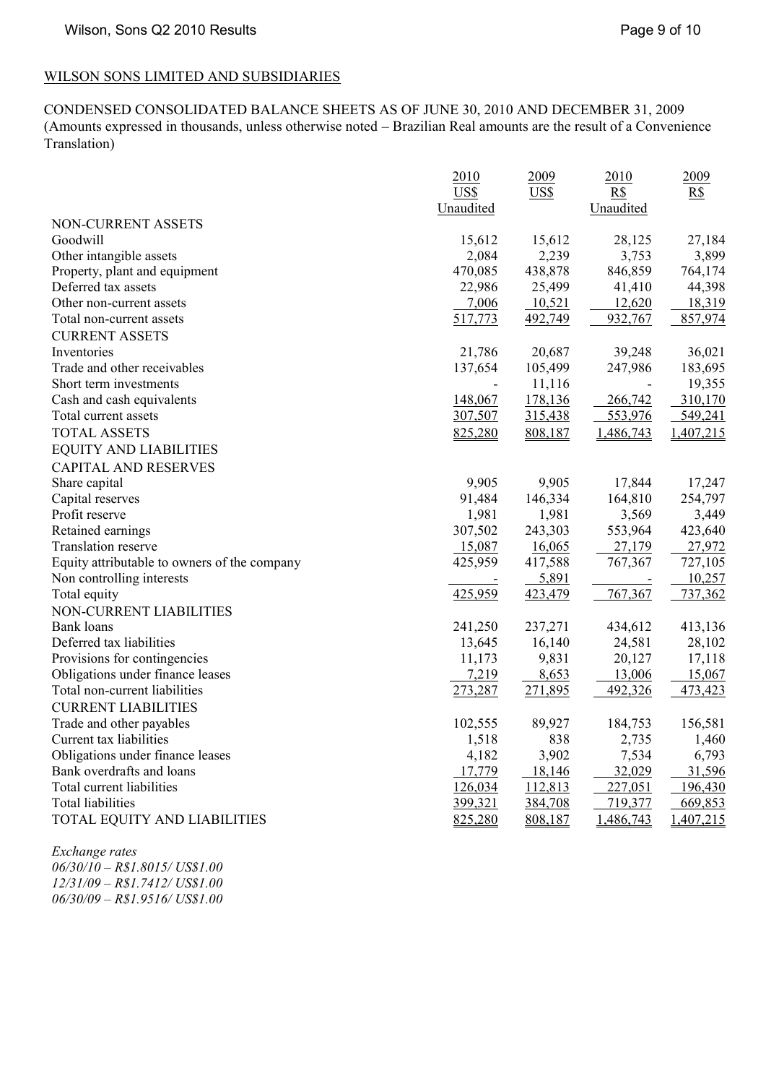# WILSON SONS LIMITED AND SUBSIDIARIES

CONDENSED CONSOLIDATED BALANCE SHEETS AS OF JUNE 30, 2010 AND DECEMBER 31, 2009 (Amounts expressed in thousands, unless otherwise noted – Brazilian Real amounts are the result of a Convenience Translation)

|                                              | 2010<br>US\$ | 2009<br>US\$ | 2010<br>R\$ | 2009<br>R\$ |
|----------------------------------------------|--------------|--------------|-------------|-------------|
|                                              | Unaudited    |              | Unaudited   |             |
| NON-CURRENT ASSETS                           |              |              |             |             |
| Goodwill                                     | 15,612       | 15,612       | 28,125      | 27,184      |
| Other intangible assets                      | 2,084        | 2,239        | 3,753       | 3,899       |
| Property, plant and equipment                | 470,085      | 438,878      | 846,859     | 764,174     |
| Deferred tax assets                          | 22,986       | 25,499       | 41,410      | 44,398      |
| Other non-current assets                     | 7,006        | 10,521       | 12,620      | 18,319      |
| Total non-current assets                     | 517,773      | 492,749      | 932,767     | 857,974     |
| <b>CURRENT ASSETS</b>                        |              |              |             |             |
| Inventories                                  | 21,786       | 20,687       | 39,248      | 36,021      |
| Trade and other receivables                  | 137,654      | 105,499      | 247,986     | 183,695     |
| Short term investments                       |              | 11,116       |             | 19,355      |
| Cash and cash equivalents                    | 148,067      | 178,136      | 266,742     | 310,170     |
| Total current assets                         | 307,507      | 315,438      | 553,976     | 549,241     |
| <b>TOTAL ASSETS</b>                          | 825,280      | 808,187      | 1,486,743   | 1,407,215   |
| <b>EQUITY AND LIABILITIES</b>                |              |              |             |             |
| <b>CAPITAL AND RESERVES</b>                  |              |              |             |             |
| Share capital                                | 9,905        | 9,905        | 17,844      | 17,247      |
| Capital reserves                             | 91,484       | 146,334      | 164,810     | 254,797     |
| Profit reserve                               | 1,981        | 1,981        | 3,569       | 3,449       |
| Retained earnings                            | 307,502      | 243,303      | 553,964     | 423,640     |
| Translation reserve                          | 15,087       | 16,065       | 27,179      | 27,972      |
| Equity attributable to owners of the company | 425,959      | 417,588      | 767,367     | 727,105     |
| Non controlling interests                    |              | 5,891        |             | 10,257      |
| Total equity                                 | 425,959      | 423,479      | 767,367     | 737,362     |
| NON-CURRENT LIABILITIES                      |              |              |             |             |
| <b>Bank</b> loans                            | 241,250      | 237,271      | 434,612     | 413,136     |
| Deferred tax liabilities                     | 13,645       | 16,140       | 24,581      | 28,102      |
| Provisions for contingencies                 | 11,173       | 9,831        | 20,127      | 17,118      |
| Obligations under finance leases             | 7,219        | 8,653        | 13,006      | 15,067      |
| Total non-current liabilities                | 273,287      | 271,895      | 492,326     | 473,423     |
| <b>CURRENT LIABILITIES</b>                   |              |              |             |             |
| Trade and other payables                     | 102,555      | 89,927       | 184,753     | 156,581     |
| Current tax liabilities                      | 1,518        | 838          | 2,735       | 1,460       |
| Obligations under finance leases             | 4,182        | 3,902        | 7,534       | 6,793       |
| Bank overdrafts and loans                    | 17,779       | 18,146       | 32,029      | 31,596      |
| Total current liabilities                    | 126,034      | 112,813      | 227,051     | 196,430     |
| Total liabilities                            | 399,321      | 384,708      | 719,377     | 669,853     |
| TOTAL EQUITY AND LIABILITIES                 | 825,280      | 808,187      | 1,486,743   | 1,407,215   |

*Exchange rates 06/30/10 – R\$1.8015/ US\$1.00 12/31/09 – R\$1.7412/ US\$1.00 06/30/09 – R\$1.9516/ US\$1.00*